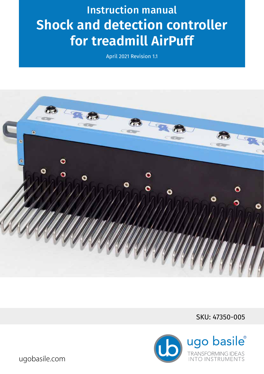# Instruction manual **Shock and detection controller for treadmill AirPuff**

April 2021 Revision 1.1



SKU: 47350-005



ugobasile.com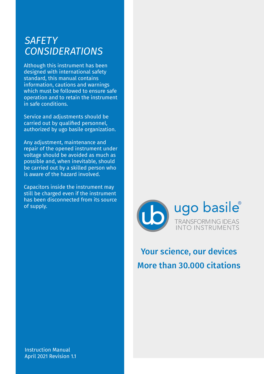### *SAFETY CONSIDERATIONS*

Although this instrument has been designed with international safety standard, this manual contains information, cautions and warnings which must be followed to ensure safe operation and to retain the instrument in safe conditions.

Service and adjustments should be carried out by qualified personnel, authorized by ugo basile organization.

Any adjustment, maintenance and repair of the opened instrument under voltage should be avoided as much as possible and, when inevitable, should be carried out by a skilled person who is aware of the hazard involved.

Capacitors inside the instrument may still be charged even if the instrument has been disconnected from its source of supply.



## Your science, our devices More than 30.000 citations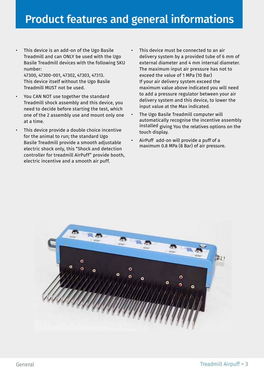• This device is an add-on of the Ugo Basile Treadmill and can ONLY be used with the Ugo Basile Treadmill devices with the following SKU number:

47300, 47300-001, 47302, 47303, 47313. This device itself without the Ugo Basile Treadmill MUST not be used.

- You CAN NOT use together the standard Treadmill shock assembly and this device, you need to decide before starting the test, which one of the 2 assembly use and mount only one at a time.
- This device provide a double choice incentive for the animal to run; the standard Ugo Basile Treadmill provide a smooth adjustable electric shock only, this "Shock and detection controller for treadmill AirPuff" provide booth, electric incentive and a smooth air puff.
- This device must be connected to an air delivery system by a provided tube of 6 mm of external diameter and 4 mm internal diameter. The maximum input air pressure has not to exceed the value of 1 MPa (10 Bar) If your air delivery system exceed the maximum value above indicated you will need to add a pressure regulator between your air delivery system and this device, to lower the input value at the Max indicated.
- The Ugo Basile Treadmill computer will automatically recognise the incentive assembly installed giving You the relatives options on the touch display.
- AirPuff add-on will provide a puff of a maximum 0.8 MPa (8 Bar) of air pressure.

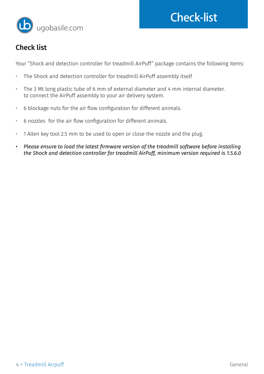



### Check list

Your "Shock and detection controller for treadmill AirPuff" package contains the following items:

- The Shock and detection controller for treadmill AirPuff assembly itself
- The 3 Mt long plastic tube of 6 mm of external diameter and 4 mm internal diameter. to connect the AirPuff assembly to your air delivery system.
- 6 blockage nuts for the air flow configuration for different animals.
- 6 nozzles for the air flow configuration for different animals.
- 1 Allen key tool 2.5 mm to be used to open or close the nozzle and the plug.
- *• Please ensure to load the latest firmware version of the treadmill software before installing the Shock and detection controller for treadmill AirPuff, minimum version required is 1.5.6.0*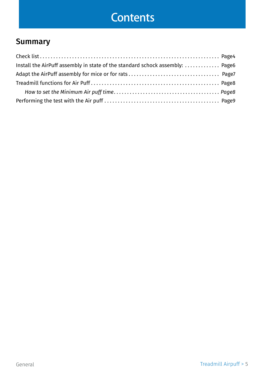# **Contents**

### Summary

| Install the AirPuff assembly in state of the standard schock assembly:  Page6 |  |
|-------------------------------------------------------------------------------|--|
|                                                                               |  |
|                                                                               |  |
|                                                                               |  |
|                                                                               |  |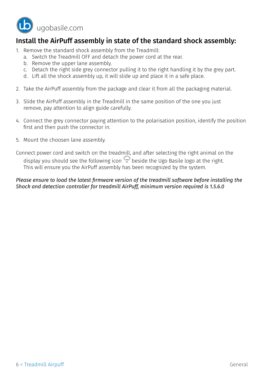

#### Install the AirPuff assembly in state of the standard shock assembly:

- 1. Remove the standard shock assembly from the Treadmill:
	- a. Switch the Treadmill OFF and detach the power cord at the rear.
	- b. Remove the upper lane assembly.
	- c. Detach the right side grey connector pulling it to the right handling it by the grey part.
	- d. Lift all the shock assembly up, it will slide up and place it in a safe place.
- 2. Take the AirPuff assembly from the package and clear it from all the packaging material.
- 3. Slide the AirPuff assembly in the Treadmill in the same position of the one you just remove, pay attention to align guide carefully.
- 4. Connect the grey connector paying attention to the polarisation position, identify the position first and then push the connector in.
- 5. Mount the choosen lane assembly.

Connect power cord and switch on the treadmill, and after selecting the right animal on the display you should see the following icon  $\mathbb{Q}$  beside the Ugo Basile logo at the right. This will ensure you the AirPuff assembly has been recognized by the system.

#### *Please ensure to load the latest firmware version of the treadmill software before installing the Shock and detection controller for treadmill AirPuff, minimum version required is 1.5.6.0*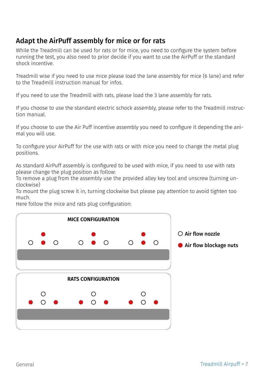### Adapt the AirPuff assembly for mice or for rats

While the Treadmill can be used for rats or for mice, you need to configure the system before running the test, you also need to prior decide if you want to use the AirPuff or the standard shock incentive.

Treadmill wise if you need to use mice please load the lane assembly for mice (6 lane) and refer to the Treadmill instruction manual for infos.

If you need to use the Treadmill with rats, please load the 3 lane assembly for rats.

If you choose to use the standard electric schock assembly, please refer to the Treadmill instruction manual.

If you choose to use the Air Puff incentive assembly you need to configure it depending the animal you will use.

To configure your AirPuff for the use with rats or with mice you need to change the metal plug positions.

As standard AirPuff assembly is configured to be used with mice, if you need to use with rats please change the plug position as follow:

To remove a plug from the assembly use the provided alley key tool and unscrew (turning unclockwise)

To mount the plug screw it in, turning clockwise but please pay attention to avoid tighten too much.

Here follow the mice and rats plug configuration:

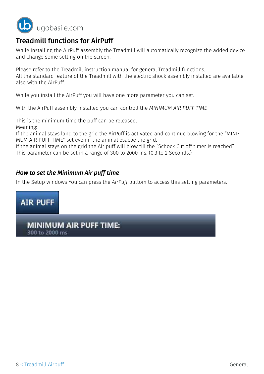

#### Treadmill functions for AirPuff

While installing the AirPuff assembly the Treadmill will automatically recognize the added device and change some setting on the screen.

Please refer to the Treadmill instruction manual for general Treadmill functions. All the standard feature of the Treadmill with the electric shock assembly installed are available also with the AirPuff.

While you install the AirPuff you will have one more parameter you can set.

With the AirPuff assembly installed you can controll the *MINIMUM AIR PUFF TIME*

This is the minimum time the puff can be released.

Meaning:

If the animal stays land to the grid the AirPuff is activated and continue blowing for the "MINI-MUM AIR PUFF TIME" set even if the animal esacpe the grid.

if the animal stays on the grid the Air puff will blow till the "Schock Cut off timer is reached" This parameter can be set in a range of 300 to 2000 ms. (0.3 to 2 Seconds.)

#### *How to set the Minimum Air puff time*

In the Setup windows You can press the *AirPuff* buttom to access this setting parameters.